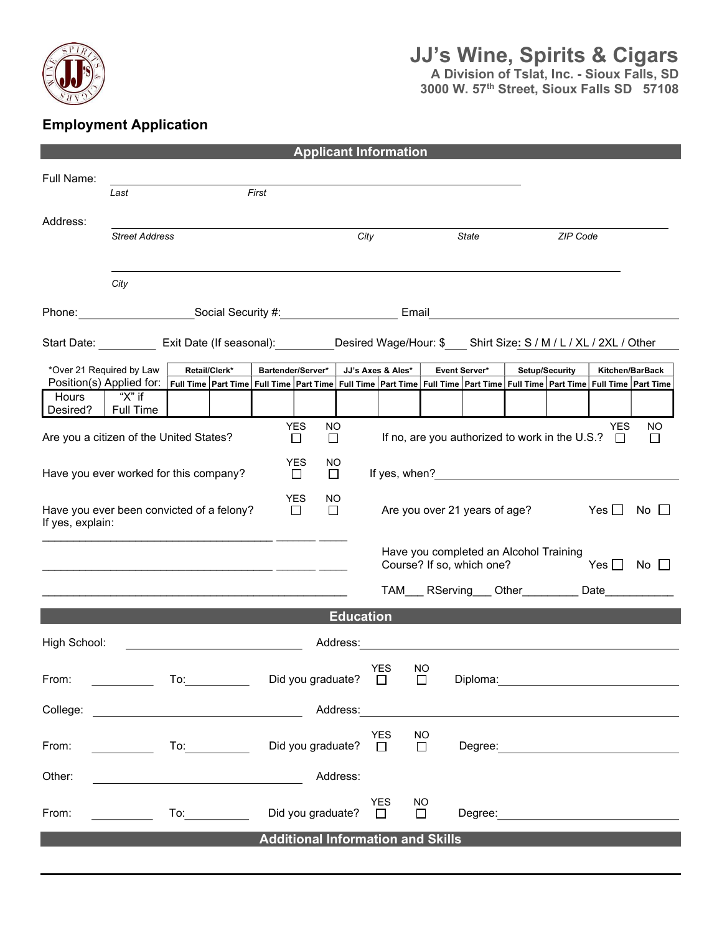

# JJ's Wine, Spirits & Cigars

A Division of Tslat, Inc. - Sioux Falls, SD 3000 W. 57<sup>th</sup> Street, Sioux Falls SD 57108

### Employment Application

|                                                                                                                                                                                                      |                                                                                                        |  |                                                                                                                                                                                                                                |                      |                                           |                  | <b>Applicant Information</b>                          |                     |                                                                                                                      |                      |                |                      |  |
|------------------------------------------------------------------------------------------------------------------------------------------------------------------------------------------------------|--------------------------------------------------------------------------------------------------------|--|--------------------------------------------------------------------------------------------------------------------------------------------------------------------------------------------------------------------------------|----------------------|-------------------------------------------|------------------|-------------------------------------------------------|---------------------|----------------------------------------------------------------------------------------------------------------------|----------------------|----------------|----------------------|--|
| Full Name:                                                                                                                                                                                           |                                                                                                        |  |                                                                                                                                                                                                                                |                      |                                           |                  |                                                       |                     |                                                                                                                      |                      |                |                      |  |
|                                                                                                                                                                                                      | Last                                                                                                   |  |                                                                                                                                                                                                                                | First                |                                           |                  |                                                       |                     |                                                                                                                      |                      |                |                      |  |
| Address:                                                                                                                                                                                             | <b>Street Address</b>                                                                                  |  |                                                                                                                                                                                                                                |                      |                                           | City<br>State    |                                                       |                     |                                                                                                                      |                      | ZIP Code       |                      |  |
|                                                                                                                                                                                                      |                                                                                                        |  |                                                                                                                                                                                                                                |                      |                                           |                  |                                                       |                     |                                                                                                                      |                      |                |                      |  |
|                                                                                                                                                                                                      | City                                                                                                   |  |                                                                                                                                                                                                                                |                      |                                           |                  |                                                       |                     |                                                                                                                      |                      |                |                      |  |
|                                                                                                                                                                                                      |                                                                                                        |  |                                                                                                                                                                                                                                |                      |                                           |                  |                                                       |                     |                                                                                                                      |                      |                |                      |  |
|                                                                                                                                                                                                      | Start Date: Exit Date (If seasonal): Desired Wage/Hour: \$ __ Shirt Size: S / M / L / XL / 2XL / Other |  |                                                                                                                                                                                                                                |                      |                                           |                  |                                                       |                     |                                                                                                                      |                      |                |                      |  |
|                                                                                                                                                                                                      |                                                                                                        |  |                                                                                                                                                                                                                                |                      |                                           |                  |                                                       |                     |                                                                                                                      |                      |                |                      |  |
| *Over 21 Required by Law<br>Position(s) Applied for:   Full Time   Part Time   Full Time   Part Time   Full Time   Part Time   Part Time   Part Time   Part Time   Part Time   Full Time   Part Time |                                                                                                        |  | Retail/Clerk*                                                                                                                                                                                                                  |                      | Bartender/Server*                         |                  | JJ's Axes & Ales*                                     |                     | Event Server*                                                                                                        |                      | Setup/Security | Kitchen/BarBack      |  |
| Hours                                                                                                                                                                                                | "X" if                                                                                                 |  |                                                                                                                                                                                                                                |                      |                                           |                  |                                                       |                     |                                                                                                                      |                      |                |                      |  |
| Desired?                                                                                                                                                                                             | Full Time                                                                                              |  |                                                                                                                                                                                                                                |                      |                                           |                  |                                                       |                     |                                                                                                                      |                      |                |                      |  |
| <b>YES</b><br><b>YES</b><br>NO.<br>If no, are you authorized to work in the U.S.? $\Box$<br>Are you a citizen of the United States?<br>□<br>$\Box$                                                   |                                                                                                        |  |                                                                                                                                                                                                                                |                      |                                           |                  | NO<br>П                                               |                     |                                                                                                                      |                      |                |                      |  |
| <b>YES</b><br>NO.<br>If yes, when?<br>Have you ever worked for this company?<br>$\Box$<br>$\Box$                                                                                                     |                                                                                                        |  |                                                                                                                                                                                                                                |                      |                                           |                  |                                                       |                     |                                                                                                                      |                      |                |                      |  |
| Have you ever been convicted of a felony?<br>If yes, explain:                                                                                                                                        |                                                                                                        |  |                                                                                                                                                                                                                                | <b>YES</b><br>$\Box$ | NO.<br>Are you over 21 years of age?<br>□ |                  |                                                       |                     |                                                                                                                      | Yes $\Box$ No $\Box$ |                |                      |  |
|                                                                                                                                                                                                      |                                                                                                        |  |                                                                                                                                                                                                                                |                      |                                           |                  |                                                       |                     | Have you completed an Alcohol Training<br>Course? If so, which one?                                                  |                      |                | Yes $\Box$ No $\Box$ |  |
|                                                                                                                                                                                                      |                                                                                                        |  |                                                                                                                                                                                                                                |                      |                                           |                  |                                                       |                     | TAM____ RServing____ Other___________ Date____________                                                               |                      |                |                      |  |
|                                                                                                                                                                                                      |                                                                                                        |  |                                                                                                                                                                                                                                |                      |                                           | <b>Education</b> |                                                       |                     |                                                                                                                      |                      |                |                      |  |
| High School:                                                                                                                                                                                         |                                                                                                        |  |                                                                                                                                                                                                                                |                      |                                           | Address:         |                                                       |                     | <u> 1980 - Jan Stein Stein Stein Stein Stein Stein Stein Stein Stein Stein Stein Stein Stein Stein Stein Stein S</u> |                      |                |                      |  |
| From:                                                                                                                                                                                                |                                                                                                        |  | To: the contract of the contract of the contract of the contract of the contract of the contract of the contract of the contract of the contract of the contract of the contract of the contract of the contract of the contra |                      |                                           |                  | <b>YES</b><br>Did you graduate?<br>$\square$ Diploma: | <b>NO</b>           |                                                                                                                      |                      |                |                      |  |
| College:                                                                                                                                                                                             | <u> 1989 - Johann Barbara, martxa amerikan personal (</u>                                              |  |                                                                                                                                                                                                                                |                      |                                           |                  |                                                       |                     |                                                                                                                      |                      |                |                      |  |
| From:                                                                                                                                                                                                |                                                                                                        |  |                                                                                                                                                                                                                                |                      | Did you graduate?                         |                  | <b>YES</b><br>$\Box$                                  | $NO$<br>$\Box$      |                                                                                                                      |                      |                |                      |  |
| Other:                                                                                                                                                                                               |                                                                                                        |  |                                                                                                                                                                                                                                |                      |                                           | Address:         |                                                       |                     |                                                                                                                      |                      |                |                      |  |
| From:                                                                                                                                                                                                |                                                                                                        |  | To: and the state of the state of the state of the state of the state of the state of the state of the state o                                                                                                                 |                      | Did you graduate?                         |                  | YES<br>$\Box$                                         | <b>NO</b><br>$\Box$ |                                                                                                                      |                      |                |                      |  |
|                                                                                                                                                                                                      |                                                                                                        |  |                                                                                                                                                                                                                                |                      |                                           |                  | <b>Additional Information and Skills</b>              |                     |                                                                                                                      |                      |                |                      |  |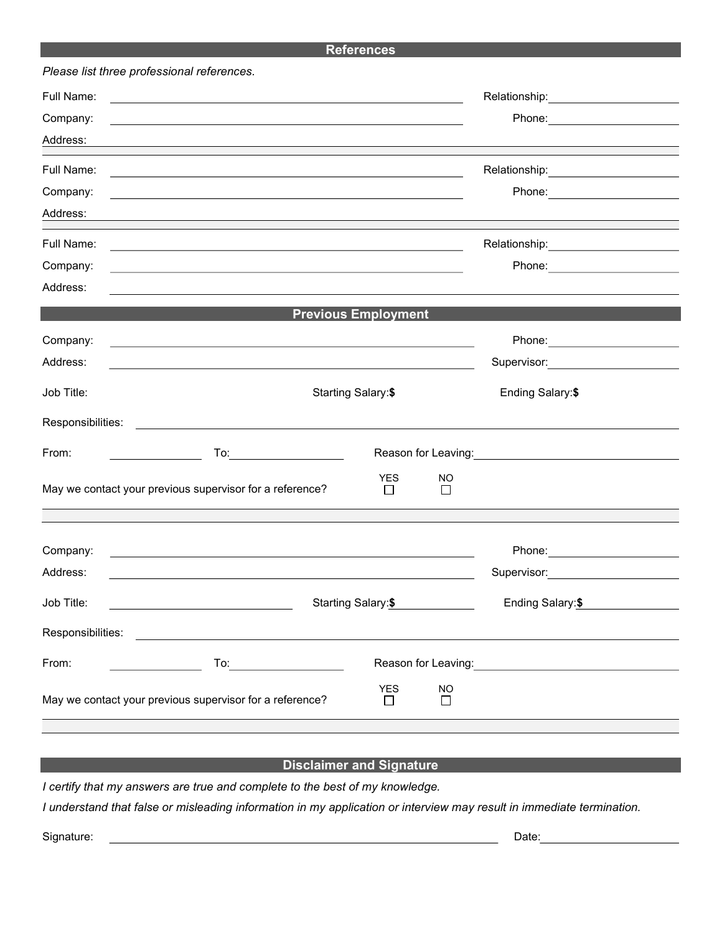#### References

|                   | Please list three professional references.                                                                                                                                                                                    |                                                                                                                                                                                                                                |                |                                                                                                                  |  |
|-------------------|-------------------------------------------------------------------------------------------------------------------------------------------------------------------------------------------------------------------------------|--------------------------------------------------------------------------------------------------------------------------------------------------------------------------------------------------------------------------------|----------------|------------------------------------------------------------------------------------------------------------------|--|
| Full Name:        | <u> 1989 - Johann Stoff, amerikansk politiker (d. 1989)</u>                                                                                                                                                                   |                                                                                                                                                                                                                                |                | Relationship: 2000                                                                                               |  |
| Company:          | and the control of the control of the control of the control of the control of the control of the control of the                                                                                                              |                                                                                                                                                                                                                                |                | Phone: _________________________                                                                                 |  |
| Address:          |                                                                                                                                                                                                                               |                                                                                                                                                                                                                                |                |                                                                                                                  |  |
| Full Name:        | the control of the control of the control of the control of the control of the control of the control of the control of the control of the control of the control of the control of the control of the control of the control |                                                                                                                                                                                                                                |                | Relationship:________________________                                                                            |  |
| Company:          |                                                                                                                                                                                                                               |                                                                                                                                                                                                                                |                |                                                                                                                  |  |
| Address:          |                                                                                                                                                                                                                               |                                                                                                                                                                                                                                |                |                                                                                                                  |  |
| Full Name:        | <u> 1989 - Andrea Santa Andrea Andrea Andrea Andrea Andrea Andrea Andrea Andrea Andrea Andrea Andrea Andrea Andr</u>                                                                                                          |                                                                                                                                                                                                                                |                | Relationship:_______________________                                                                             |  |
| Company:          |                                                                                                                                                                                                                               |                                                                                                                                                                                                                                |                | Phone: _____________________                                                                                     |  |
| Address:          |                                                                                                                                                                                                                               |                                                                                                                                                                                                                                |                |                                                                                                                  |  |
|                   |                                                                                                                                                                                                                               | <b>Previous Employment</b>                                                                                                                                                                                                     |                |                                                                                                                  |  |
| Company:          | the control of the control of the control of the control of the control of the control of the control of the control of the control of the control of the control of the control of the control of the control of the control |                                                                                                                                                                                                                                |                |                                                                                                                  |  |
| Address:          | and the control of the control of the control of the control of the control of the control of the control of the                                                                                                              |                                                                                                                                                                                                                                |                | Supervisor:__________________________                                                                            |  |
| Job Title:        |                                                                                                                                                                                                                               | Starting Salary:\$                                                                                                                                                                                                             |                |                                                                                                                  |  |
| Responsibilities: | <u> 1980 - Jan Stein Stein Stein Stein Stein Stein Stein Stein Stein Stein Stein Stein Stein Stein Stein Stein S</u>                                                                                                          |                                                                                                                                                                                                                                |                |                                                                                                                  |  |
| From:             | To:_______________________                                                                                                                                                                                                    | Reason for Leaving: Network of Contract Contract Contract Contract Contract Contract Contract Contract Contract Contract Contract Contract Contract Contract Contract Contract Contract Contract Contract Contract Contract Co |                |                                                                                                                  |  |
|                   | May we contact your previous supervisor for a reference?                                                                                                                                                                      | <b>YES</b><br>П                                                                                                                                                                                                                | NO<br>П        |                                                                                                                  |  |
|                   |                                                                                                                                                                                                                               |                                                                                                                                                                                                                                |                |                                                                                                                  |  |
| Company:          | <u> 1989 - Johann Stoff, amerikansk politiker (d. 1989)</u>                                                                                                                                                                   |                                                                                                                                                                                                                                |                |                                                                                                                  |  |
| Address:          |                                                                                                                                                                                                                               |                                                                                                                                                                                                                                |                | Supervisor: Victor Control of Control Control Control Control Control Control Control Control Control Control Co |  |
| Job Title:        | Starting Salary:\$<br><u> 1989 - Johann Barn, mars ann an t-Amhain Aonaich an t-Aonaich an t-Aonaich ann an t-Aonaich ann an t-Aonaich</u>                                                                                    | Ending Salary: \$                                                                                                                                                                                                              |                |                                                                                                                  |  |
| Responsibilities: | <u> 1989 - Johann Stoff, deutscher Stoffen und der Stoffen und der Stoffen und der Stoffen und der Stoffen und der</u>                                                                                                        |                                                                                                                                                                                                                                |                |                                                                                                                  |  |
| From:             |                                                                                                                                                                                                                               |                                                                                                                                                                                                                                |                |                                                                                                                  |  |
|                   | May we contact your previous supervisor for a reference?                                                                                                                                                                      | <b>YES</b><br>$\perp$                                                                                                                                                                                                          | <b>NO</b><br>П |                                                                                                                  |  |
|                   |                                                                                                                                                                                                                               |                                                                                                                                                                                                                                |                |                                                                                                                  |  |

#### **Disclaimer and Signature**

I certify that my answers are true and complete to the best of my knowledge.

I understand that false or misleading information in my application or interview may result in immediate termination.

Signature: Date: Date: Date: Date: Date: Date: Date: Date: Date: Date: Date: Date: Date: Date: Date: Date: Date: Date: Date: Date: Date: Date: Date: Date: Date: Date: Date: Date: Date: Date: Date: Date: Date: Date: Date: D